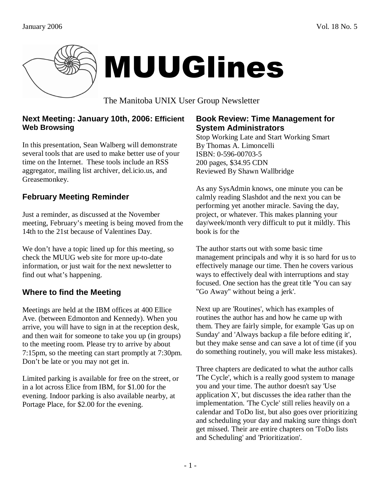



The Manitoba UNIX User Group Newsletter

### **Next Meeting: January 10th, 2006: Efficient Web Browsing**

In this presentation, Sean Walberg will demonstrate several tools that are used to make better use of your time on the Internet. These tools include an RSS aggregator, mailing list archiver, del.icio.us, and Greasemonkey.

# **February Meeting Reminder**

Just a reminder, as discussed at the November meeting, February's meeting is being moved from the 14th to the 21st because of Valentines Day.

We don't have a topic lined up for this meeting, so check the MUUG web site for more up-to-date information, or just wait for the next newsletter to find out what's happening.

# **Where to find the Meeting**

Meetings are held at the IBM offices at 400 Ellice Ave. (between Edmonton and Kennedy). When you arrive, you will have to sign in at the reception desk, and then wait for someone to take you up (in groups) to the meeting room. Please try to arrive by about 7:15pm, so the meeting can start promptly at 7:30pm. Don't be late or you may not get in.

Limited parking is available for free on the street, or in a lot across Elice from IBM, for \$1.00 for the evening. Indoor parking is also available nearby, at Portage Place, for \$2.00 for the evening.

### **Book Review: Time Management for System Administrators**

Stop Working Late and Start Working Smart By Thomas A. Limoncelli ISBN: 0-596-00703-5 200 pages, \$34.95 CDN Reviewed By Shawn Wallbridge

As any SysAdmin knows, one minute you can be calmly reading Slashdot and the next you can be performing yet another miracle. Saving the day, project, or whatever. This makes planning your day/week/month very difficult to put it mildly. This book is for the

The author starts out with some basic time management principals and why it is so hard for us to effectively manage our time. Then he covers various ways to effectively deal with interruptions and stay focused. One section has the great title 'You can say "Go Away" without being a jerk'.

Next up are 'Routines', which has examples of routines the author has and how he came up with them. They are fairly simple, for example 'Gas up on Sunday' and 'Always backup a file before editing it', but they make sense and can save a lot of time (if you do something routinely, you will make less mistakes).

Three chapters are dedicated to what the author calls 'The Cycle', which is a really good system to manage you and your time. The author doesn't say 'Use application X', but discusses the idea rather than the implementation. 'The Cycle' still relies heavily on a calendar and ToDo list, but also goes over prioritizing and scheduling your day and making sure things don't get missed. Their are entire chapters on 'ToDo lists and Scheduling' and 'Prioritization'.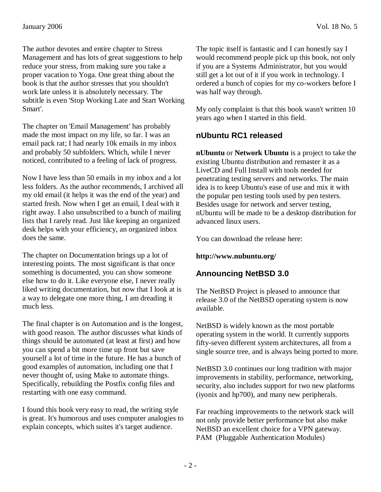The author devotes and entire chapter to Stress Management and has lots of great suggestions to help reduce your stress, from making sure you take a proper vacation to Yoga. One great thing about the book is that the author stresses that you shouldn't work late unless it is absolutely necessary. The subtitle is even 'Stop Working Late and Start Working Smart'.

The chapter on 'Email Management' has probably made the most impact on my life, so far. I was an email pack rat; I had nearly 10k emails in my inbox and probably 50 subfolders. Which, while I never noticed, contributed to a feeling of lack of progress.

Now I have less than 50 emails in my inbox and a lot less folders. As the author recommends, I archived all my old email (it helps it was the end of the year) and started fresh. Now when I get an email, I deal with it right away. I also unsubscribed to a bunch of mailing lists that I rarely read. Just like keeping an organized desk helps with your efficiency, an organized inbox does the same.

The chapter on Documentation brings up a lot of interesting points. The most significant is that once something is documented, you can show someone else how to do it. Like everyone else, I never really liked writing documentation, but now that I look at is a way to delegate one more thing, I am dreading it much less.

The final chapter is on Automation and is the longest, with good reason. The author discusses what kinds of things should be automated (at least at first) and how you can spend a bit more time up front but save yourself a lot of time in the future. He has a bunch of good examples of automation, including one that I never thought of, using Make to automate things. Specifically, rebuilding the Postfix config files and restarting with one easy command.

I found this book very easy to read, the writing style is great. It's humorous and uses computer analogies to explain concepts, which suites it's target audience.

The topic itself is fantastic and I can honestly say I would recommend people pick up this book, not only if you are a Systems Administrator, but you would still get a lot out of it if you work in technology. I ordered a bunch of copies for my co-workers before I was half way through.

My only complaint is that this book wasn't written 10 years ago when I started in this field.

## **nUbuntu RC1 released**

**nUbuntu** or **Network Ubuntu** is a project to take the existing Ubuntu distribution and remaster it as a LiveCD and Full Install with tools needed for penetrating testing servers and networks. The main idea is to keep Ubuntu's ease of use and mix it with the popular pen testing tools used by pen testers. Besides usage for network and server testing, nUbuntu will be made to be a desktop distribution for advanced linux users.

You can download the release here:

### **http://www.nubuntu.org/**

## **Announcing NetBSD 3.0**

The NetBSD Project is pleased to announce that release 3.0 of the NetBSD operating system is now available.

NetBSD is widely known as the most portable operating system in the world. It currently supports fifty-seven different system architectures, all from a single source tree, and is always being ported to more.

NetBSD 3.0 continues our long tradition with major improvements in stability, performance, networking, security, also includes support for two new platforms (iyonix and hp700), and many new peripherals.

Far reaching improvements to the network stack will not only provide better performance but also make NetBSD an excellent choice for a VPN gateway. PAM (Pluggable Authentication Modules)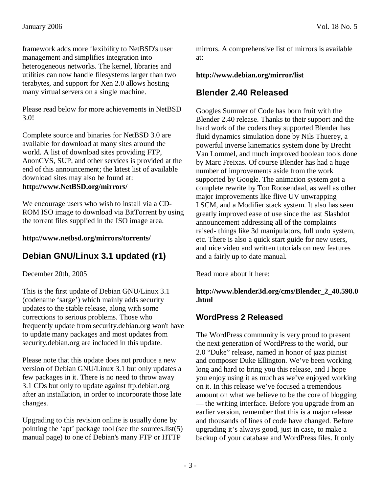framework adds more flexibility to NetBSD's user management and simplifies integration into heterogeneous networks. The kernel, libraries and utilities can now handle filesystems larger than two terabytes, and support for Xen 2.0 allows hosting many virtual servers on a single machine.

Please read below for more achievements in NetBSD 3.0!

Complete source and binaries for NetBSD 3.0 are available for download at many sites around the world. A list of download sites providing FTP, AnonCVS, SUP, and other services is provided at the end of this announcement; the latest list of available download sites may also be found at: **http://www.NetBSD.org/mirrors/** 

We encourage users who wish to install via a CD-ROM ISO image to download via BitTorrent by using the torrent files supplied in the ISO image area.

#### **http://www.netbsd.org/mirrors/torrents/**

## **Debian GNU/Linux 3.1 updated (r1)**

December 20th, 2005

This is the first update of Debian GNU/Linux 3.1 (codename 'sarge') which mainly adds security updates to the stable release, along with some corrections to serious problems. Those who frequently update from security.debian.org won't have to update many packages and most updates from security.debian.org are included in this update.

Please note that this update does not produce a new version of Debian GNU/Linux 3.1 but only updates a few packages in it. There is no need to throw away 3.1 CDs but only to update against ftp.debian.org after an installation, in order to incorporate those late changes.

Upgrading to this revision online is usually done by pointing the 'apt' package tool (see the sources.list(5) manual page) to one of Debian's many FTP or HTTP

mirrors. A comprehensive list of mirrors is available at:

#### **http://www.debian.org/mirror/list**

## **Blender 2.40 Released**

Googles Summer of Code has born fruit with the Blender 2.40 release. Thanks to their support and the hard work of the coders they supported Blender has fluid dynamics simulation done by Nils Thuerey, a powerful inverse kinematics system done by Brecht Van Lommel, and much improved boolean tools done by Marc Freixas. Of course Blender has had a huge number of improvements aside from the work supported by Google. The animation system got a complete rewrite by Ton Roosendaal, as well as other major improvements like flive UV unwrapping LSCM, and a Modifier stack system. It also has seen greatly improved ease of use since the last Slashdot announcement addressing all of the complaints raised- things like 3d manipulators, full undo system, etc. There is also a quick start guide for new users, and nice video and written tutorials on new features and a fairly up to date manual.

Read more about it here:

#### **http://www.blender3d.org/cms/Blender\_2\_40.598.0 .html**

### **WordPress 2 Released**

The WordPress community is very proud to present the next generation of WordPress to the world, our 2.0 "Duke" release, named in honor of jazz pianist and composer Duke Ellington. We've been working long and hard to bring you this release, and I hope you enjoy using it as much as we've enjoyed working on it. In this release we've focused a tremendous amount on what we believe to be the core of blogging — the writing interface. Before you upgrade from an earlier version, remember that this is a major release and thousands of lines of code have changed. Before upgrading it's always good, just in case, to make a backup of your database and WordPress files. It only